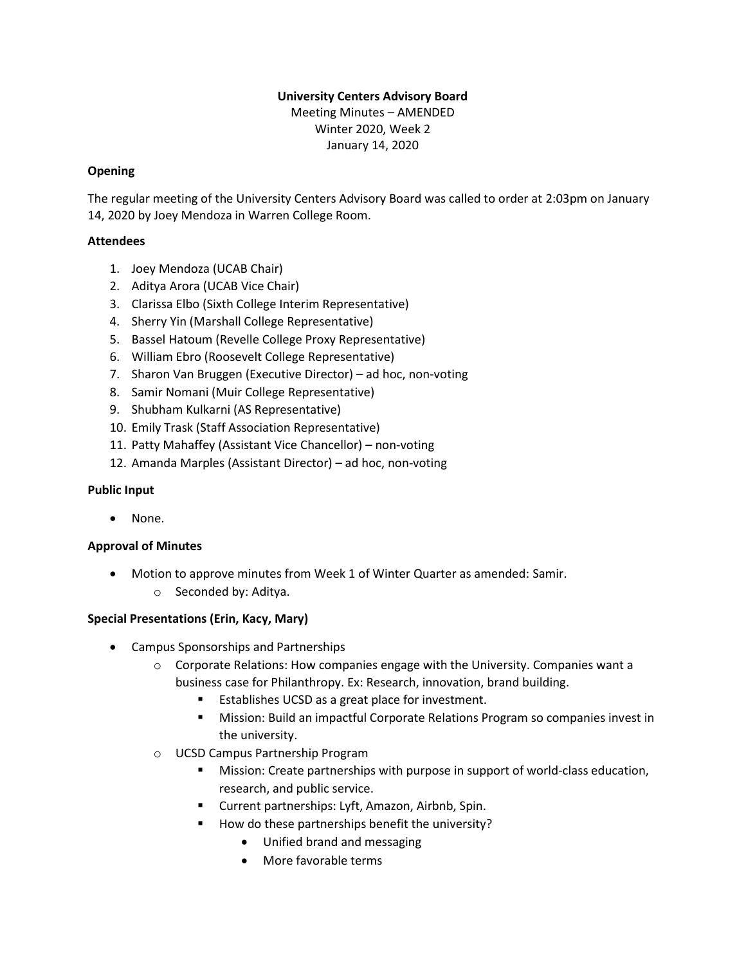# **University Centers Advisory Board**

Meeting Minutes – AMENDED Winter 2020, Week 2 January 14, 2020

## **Opening**

The regular meeting of the University Centers Advisory Board was called to order at 2:03pm on January 14, 2020 by Joey Mendoza in Warren College Room.

## **Attendees**

- 1. Joey Mendoza (UCAB Chair)
- 2. Aditya Arora (UCAB Vice Chair)
- 3. Clarissa Elbo (Sixth College Interim Representative)
- 4. Sherry Yin (Marshall College Representative)
- 5. Bassel Hatoum (Revelle College Proxy Representative)
- 6. William Ebro (Roosevelt College Representative)
- 7. Sharon Van Bruggen (Executive Director) ad hoc, non-voting
- 8. Samir Nomani (Muir College Representative)
- 9. Shubham Kulkarni (AS Representative)
- 10. Emily Trask (Staff Association Representative)
- 11. Patty Mahaffey (Assistant Vice Chancellor) non-voting
- 12. Amanda Marples (Assistant Director) ad hoc, non-voting

## **Public Input**

None.

# **Approval of Minutes**

- Motion to approve minutes from Week 1 of Winter Quarter as amended: Samir.
	- o Seconded by: Aditya.

# **Special Presentations (Erin, Kacy, Mary)**

- Campus Sponsorships and Partnerships
	- $\circ$  Corporate Relations: How companies engage with the University. Companies want a business case for Philanthropy. Ex: Research, innovation, brand building.
		- Establishes UCSD as a great place for investment.
		- **■** Mission: Build an impactful Corporate Relations Program so companies invest in the university.
	- o UCSD Campus Partnership Program
		- Mission: Create partnerships with purpose in support of world-class education, research, and public service.
		- Current partnerships: Lyft, Amazon, Airbnb, Spin.
		- How do these partnerships benefit the university?
			- Unified brand and messaging
			- More favorable terms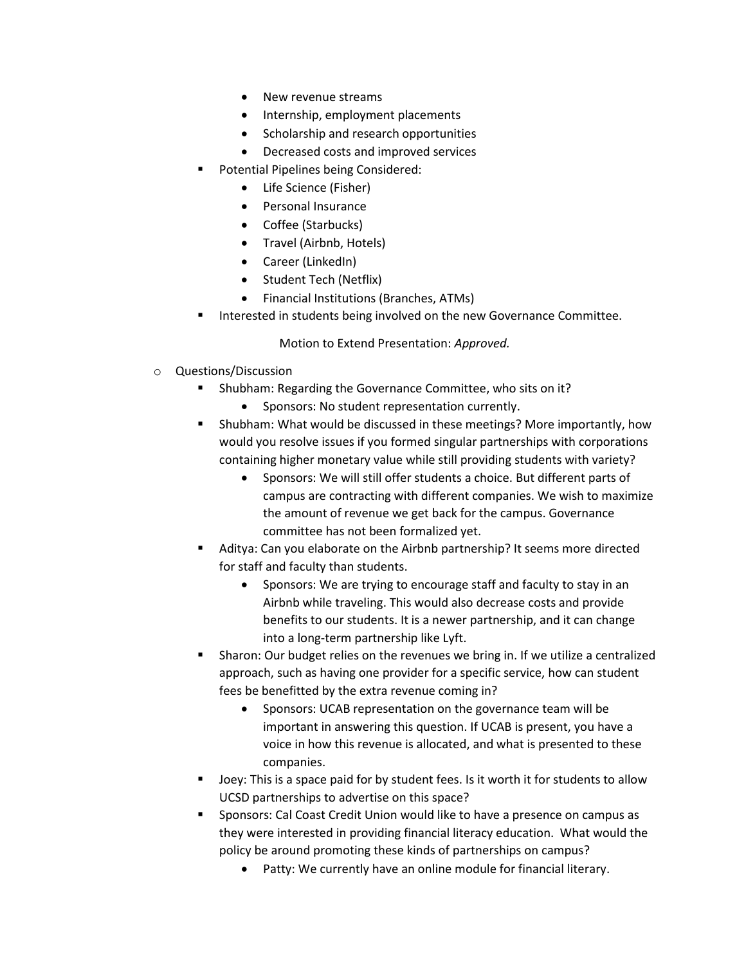- New revenue streams
- Internship, employment placements
- Scholarship and research opportunities
- Decreased costs and improved services
- Potential Pipelines being Considered:
	- Life Science (Fisher)
	- Personal Insurance
	- Coffee (Starbucks)
	- Travel (Airbnb, Hotels)
	- Career (LinkedIn)
	- Student Tech (Netflix)
	- Financial Institutions (Branches, ATMs)
- Interested in students being involved on the new Governance Committee.

Motion to Extend Presentation: *Approved.*

- o Questions/Discussion
	- Shubham: Regarding the Governance Committee, who sits on it?
		- Sponsors: No student representation currently.
	- Shubham: What would be discussed in these meetings? More importantly, how would you resolve issues if you formed singular partnerships with corporations containing higher monetary value while still providing students with variety?
		- Sponsors: We will still offer students a choice. But different parts of campus are contracting with different companies. We wish to maximize the amount of revenue we get back for the campus. Governance committee has not been formalized yet.
	- Aditya: Can you elaborate on the Airbnb partnership? It seems more directed for staff and faculty than students.
		- Sponsors: We are trying to encourage staff and faculty to stay in an Airbnb while traveling. This would also decrease costs and provide benefits to our students. It is a newer partnership, and it can change into a long-term partnership like Lyft.
	- Sharon: Our budget relies on the revenues we bring in. If we utilize a centralized approach, such as having one provider for a specific service, how can student fees be benefitted by the extra revenue coming in?
		- Sponsors: UCAB representation on the governance team will be important in answering this question. If UCAB is present, you have a voice in how this revenue is allocated, and what is presented to these companies.
	- Joey: This is a space paid for by student fees. Is it worth it for students to allow UCSD partnerships to advertise on this space?
	- Sponsors: Cal Coast Credit Union would like to have a presence on campus as they were interested in providing financial literacy education. What would the policy be around promoting these kinds of partnerships on campus?
		- Patty: We currently have an online module for financial literary.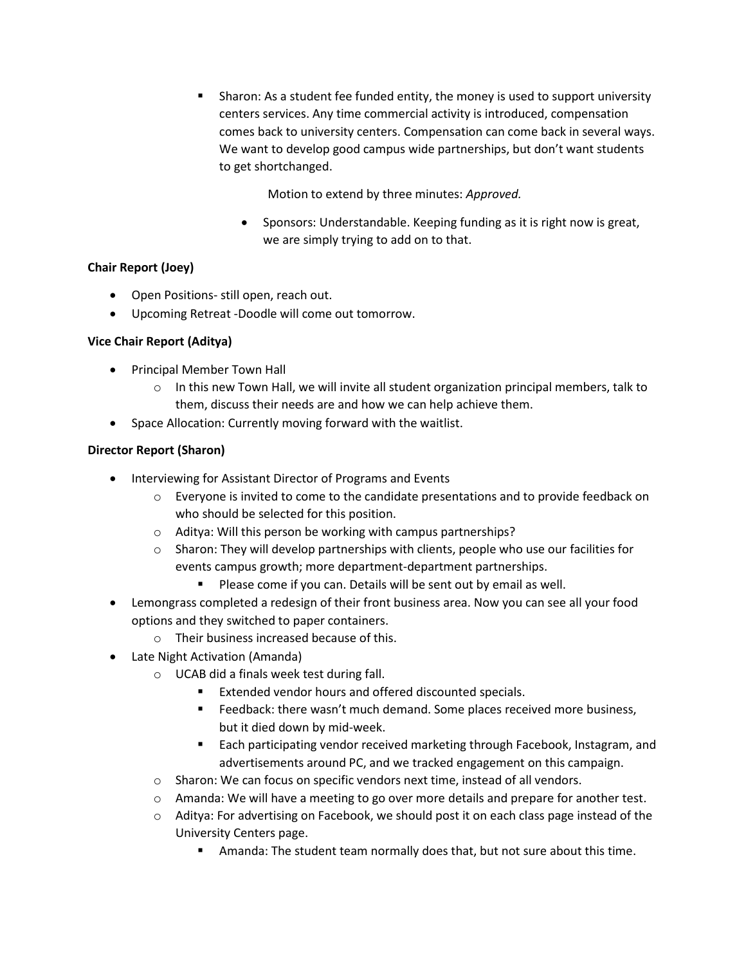▪ Sharon: As a student fee funded entity, the money is used to support university centers services. Any time commercial activity is introduced, compensation comes back to university centers. Compensation can come back in several ways. We want to develop good campus wide partnerships, but don't want students to get shortchanged.

Motion to extend by three minutes: *Approved.*

• Sponsors: Understandable. Keeping funding as it is right now is great, we are simply trying to add on to that.

## **Chair Report (Joey)**

- Open Positions- still open, reach out.
- Upcoming Retreat -Doodle will come out tomorrow.

## **Vice Chair Report (Aditya)**

- Principal Member Town Hall
	- $\circ$  In this new Town Hall, we will invite all student organization principal members, talk to them, discuss their needs are and how we can help achieve them.
- Space Allocation: Currently moving forward with the waitlist.

## **Director Report (Sharon)**

- Interviewing for Assistant Director of Programs and Events
	- $\circ$  Everyone is invited to come to the candidate presentations and to provide feedback on who should be selected for this position.
	- o Aditya: Will this person be working with campus partnerships?
	- $\circ$  Sharon: They will develop partnerships with clients, people who use our facilities for events campus growth; more department-department partnerships.
		- Please come if you can. Details will be sent out by email as well.
- Lemongrass completed a redesign of their front business area. Now you can see all your food options and they switched to paper containers.
	- o Their business increased because of this.
- Late Night Activation (Amanda)
	- o UCAB did a finals week test during fall.
		- Extended vendor hours and offered discounted specials.
		- Feedback: there wasn't much demand. Some places received more business, but it died down by mid-week.
		- Each participating vendor received marketing through Facebook, Instagram, and advertisements around PC, and we tracked engagement on this campaign.
	- $\circ$  Sharon: We can focus on specific vendors next time, instead of all vendors.
	- $\circ$  Amanda: We will have a meeting to go over more details and prepare for another test.
	- o Aditya: For advertising on Facebook, we should post it on each class page instead of the University Centers page.
		- Amanda: The student team normally does that, but not sure about this time.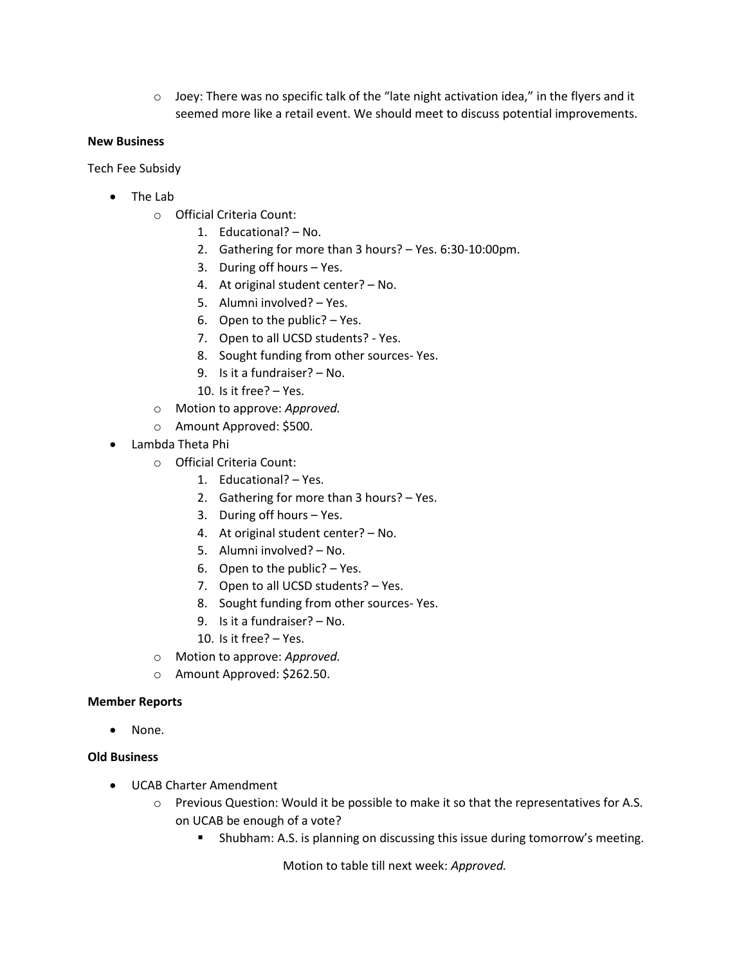$\circ$  Joey: There was no specific talk of the "late night activation idea," in the flyers and it seemed more like a retail event. We should meet to discuss potential improvements.

#### **New Business**

Tech Fee Subsidy

- The Lab
	- o Official Criteria Count:
		- 1. Educational? No.
		- 2. Gathering for more than 3 hours? Yes. 6:30-10:00pm.
		- 3. During off hours Yes.
		- 4. At original student center? No.
		- 5. Alumni involved? Yes.
		- 6. Open to the public? Yes.
		- 7. Open to all UCSD students? Yes.
		- 8. Sought funding from other sources- Yes.
		- 9. Is it a fundraiser? No.
		- 10. Is it free? Yes.
	- o Motion to approve: *Approved.*
	- o Amount Approved: \$500.
- Lambda Theta Phi
	- o Official Criteria Count:
		- 1. Educational? Yes.
		- 2. Gathering for more than 3 hours? Yes.
		- 3. During off hours Yes.
		- 4. At original student center? No.
		- 5. Alumni involved? No.
		- 6. Open to the public? Yes.
		- 7. Open to all UCSD students? Yes.
		- 8. Sought funding from other sources- Yes.
		- 9. Is it a fundraiser? No.
		- 10. Is it free? Yes.
	- o Motion to approve: *Approved.*
	- o Amount Approved: \$262.50.

#### **Member Reports**

None.

#### **Old Business**

- UCAB Charter Amendment
	- o Previous Question: Would it be possible to make it so that the representatives for A.S. on UCAB be enough of a vote?
		- Shubham: A.S. is planning on discussing this issue during tomorrow's meeting.

Motion to table till next week: *Approved.*